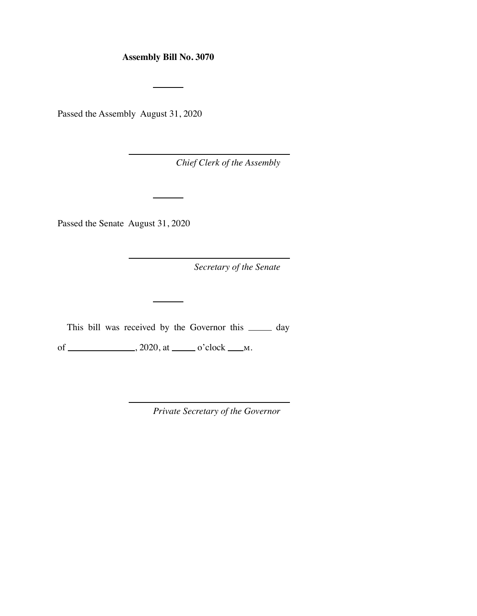## **Assembly Bill No. 3070**

Passed the Assembly August 31, 2020

*Chief Clerk of the Assembly* 

Passed the Senate August 31, 2020

*Secretary of the Senate* 

This bill was received by the Governor this \_\_\_\_\_\_ day

of  $\_\_\_\_\_\_\_\_\_\_\_\_\_\_\_\_\_\_\_\_\_\_\_\_\_\_\_\_\_\_\__ \''$ . 2020, at  $\_\_\_\_\_\_\_\_\_\_\_\_\_\_\_\_\_\_\_\_\_\_\_$ .

*Private Secretary of the Governor*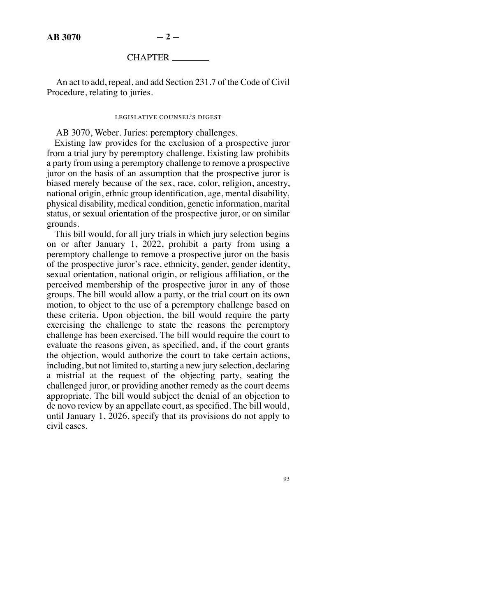## CHAPTER

An act to add, repeal, and add Section 231.7 of the Code of Civil Procedure, relating to juries.

## legislative counsel's digest

AB 3070, Weber. Juries: peremptory challenges.

Existing law provides for the exclusion of a prospective juror from a trial jury by peremptory challenge. Existing law prohibits a party from using a peremptory challenge to remove a prospective juror on the basis of an assumption that the prospective juror is biased merely because of the sex, race, color, religion, ancestry, national origin, ethnic group identification, age, mental disability, physical disability, medical condition, genetic information, marital status, or sexual orientation of the prospective juror, or on similar grounds.

This bill would, for all jury trials in which jury selection begins on or after January 1, 2022, prohibit a party from using a peremptory challenge to remove a prospective juror on the basis of the prospective juror's race, ethnicity, gender, gender identity, sexual orientation, national origin, or religious affiliation, or the perceived membership of the prospective juror in any of those groups. The bill would allow a party, or the trial court on its own motion, to object to the use of a peremptory challenge based on these criteria. Upon objection, the bill would require the party exercising the challenge to state the reasons the peremptory challenge has been exercised. The bill would require the court to evaluate the reasons given, as specified, and, if the court grants the objection, would authorize the court to take certain actions, including, but not limited to, starting a new jury selection, declaring a mistrial at the request of the objecting party, seating the challenged juror, or providing another remedy as the court deems appropriate. The bill would subject the denial of an objection to de novo review by an appellate court, as specified. The bill would, until January 1, 2026, specify that its provisions do not apply to civil cases.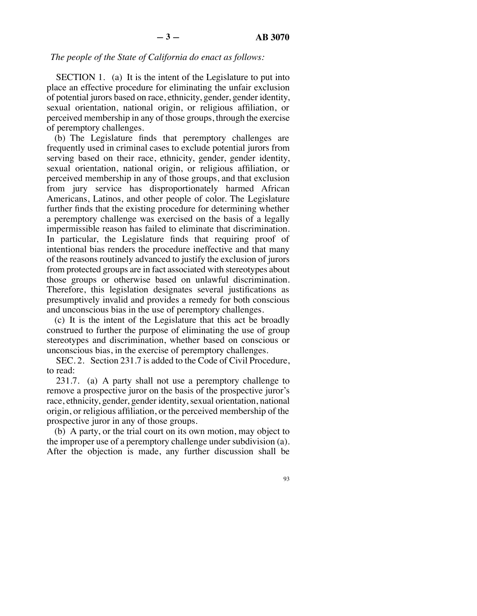## *The people of the State of California do enact as follows:*

SECTION 1. (a) It is the intent of the Legislature to put into place an effective procedure for eliminating the unfair exclusion of potential jurors based on race, ethnicity, gender, gender identity, sexual orientation, national origin, or religious affiliation, or perceived membership in any of those groups, through the exercise of peremptory challenges.

(b) The Legislature finds that peremptory challenges are frequently used in criminal cases to exclude potential jurors from serving based on their race, ethnicity, gender, gender identity, sexual orientation, national origin, or religious affiliation, or perceived membership in any of those groups, and that exclusion from jury service has disproportionately harmed African Americans, Latinos, and other people of color. The Legislature further finds that the existing procedure for determining whether a peremptory challenge was exercised on the basis of a legally impermissible reason has failed to eliminate that discrimination. In particular, the Legislature finds that requiring proof of intentional bias renders the procedure ineffective and that many of the reasons routinely advanced to justify the exclusion of jurors from protected groups are in fact associated with stereotypes about those groups or otherwise based on unlawful discrimination. Therefore, this legislation designates several justifications as presumptively invalid and provides a remedy for both conscious and unconscious bias in the use of peremptory challenges.

(c) It is the intent of the Legislature that this act be broadly construed to further the purpose of eliminating the use of group stereotypes and discrimination, whether based on conscious or unconscious bias, in the exercise of peremptory challenges.

SEC. 2. Section 231.7 is added to the Code of Civil Procedure, to read:

231.7. (a) A party shall not use a peremptory challenge to remove a prospective juror on the basis of the prospective juror's race, ethnicity, gender, gender identity, sexual orientation, national origin, or religious affiliation, or the perceived membership of the prospective juror in any of those groups.

(b) A party, or the trial court on its own motion, may object to the improper use of a peremptory challenge under subdivision (a). After the objection is made, any further discussion shall be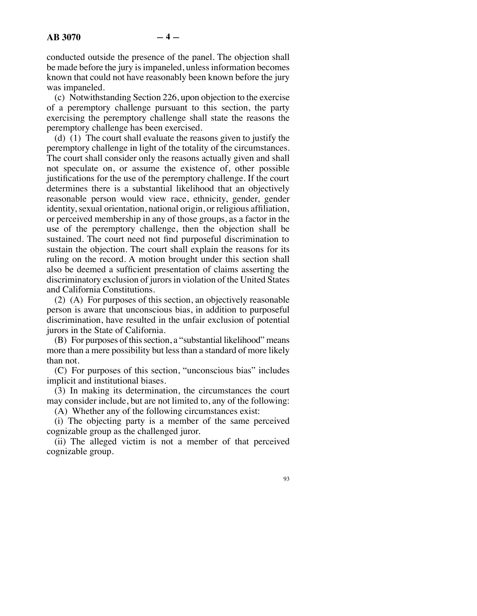conducted outside the presence of the panel. The objection shall be made before the jury is impaneled, unless information becomes known that could not have reasonably been known before the jury was impaneled.

(c) Notwithstanding Section 226, upon objection to the exercise of a peremptory challenge pursuant to this section, the party exercising the peremptory challenge shall state the reasons the peremptory challenge has been exercised.

(d) (1) The court shall evaluate the reasons given to justify the peremptory challenge in light of the totality of the circumstances. The court shall consider only the reasons actually given and shall not speculate on, or assume the existence of, other possible justifications for the use of the peremptory challenge. If the court determines there is a substantial likelihood that an objectively reasonable person would view race, ethnicity, gender, gender identity, sexual orientation, national origin, or religious affiliation, or perceived membership in any of those groups, as a factor in the use of the peremptory challenge, then the objection shall be sustained. The court need not find purposeful discrimination to sustain the objection. The court shall explain the reasons for its ruling on the record. A motion brought under this section shall also be deemed a sufficient presentation of claims asserting the discriminatory exclusion of jurors in violation of the United States and California Constitutions.

(2) (A) For purposes of this section, an objectively reasonable person is aware that unconscious bias, in addition to purposeful discrimination, have resulted in the unfair exclusion of potential jurors in the State of California.

(B) For purposes of this section, a "substantial likelihood" means more than a mere possibility but less than a standard of more likely than not.

(C) For purposes of this section, "unconscious bias" includes implicit and institutional biases.

(3) In making its determination, the circumstances the court may consider include, but are not limited to, any of the following:

(A) Whether any of the following circumstances exist:

(i) The objecting party is a member of the same perceived cognizable group as the challenged juror.

(ii) The alleged victim is not a member of that perceived cognizable group.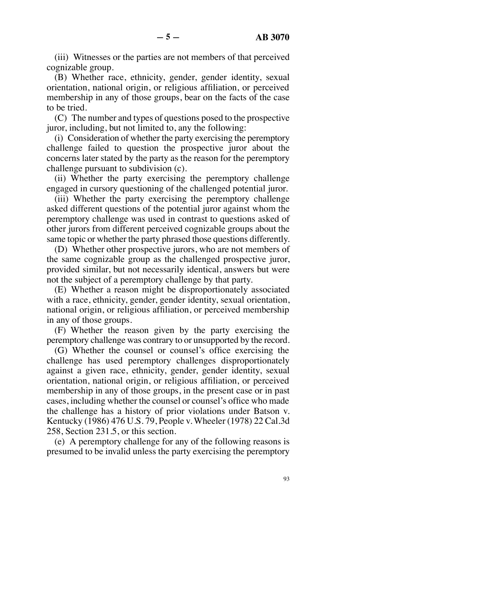(iii) Witnesses or the parties are not members of that perceived cognizable group.

(B) Whether race, ethnicity, gender, gender identity, sexual orientation, national origin, or religious affiliation, or perceived membership in any of those groups, bear on the facts of the case to be tried.

(C) The number and types of questions posed to the prospective juror, including, but not limited to, any the following:

(i) Consideration of whether the party exercising the peremptory challenge failed to question the prospective juror about the concerns later stated by the party as the reason for the peremptory challenge pursuant to subdivision (c).

(ii) Whether the party exercising the peremptory challenge engaged in cursory questioning of the challenged potential juror.

(iii) Whether the party exercising the peremptory challenge asked different questions of the potential juror against whom the peremptory challenge was used in contrast to questions asked of other jurors from different perceived cognizable groups about the same topic or whether the party phrased those questions differently.

(D) Whether other prospective jurors, who are not members of the same cognizable group as the challenged prospective juror, provided similar, but not necessarily identical, answers but were not the subject of a peremptory challenge by that party.

(E) Whether a reason might be disproportionately associated with a race, ethnicity, gender, gender identity, sexual orientation, national origin, or religious affiliation, or perceived membership in any of those groups.

(F) Whether the reason given by the party exercising the peremptory challenge was contrary to or unsupported by the record.

(G) Whether the counsel or counsel's office exercising the challenge has used peremptory challenges disproportionately against a given race, ethnicity, gender, gender identity, sexual orientation, national origin, or religious affiliation, or perceived membership in any of those groups, in the present case or in past cases, including whether the counsel or counsel's office who made the challenge has a history of prior violations under Batson v. Kentucky (1986) 476 U.S. 79, People v. Wheeler (1978) 22 Cal.3d 258, Section 231.5, or this section.

(e) A peremptory challenge for any of the following reasons is presumed to be invalid unless the party exercising the peremptory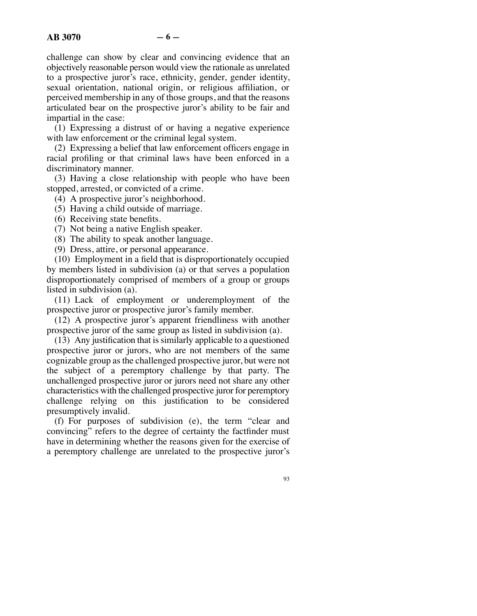challenge can show by clear and convincing evidence that an objectively reasonable person would view the rationale as unrelated to a prospective juror's race, ethnicity, gender, gender identity, sexual orientation, national origin, or religious affiliation, or perceived membership in any of those groups, and that the reasons articulated bear on the prospective juror's ability to be fair and impartial in the case:

(1) Expressing a distrust of or having a negative experience with law enforcement or the criminal legal system.

(2) Expressing a belief that law enforcement officers engage in racial profiling or that criminal laws have been enforced in a discriminatory manner.

(3) Having a close relationship with people who have been stopped, arrested, or convicted of a crime.

(4) A prospective juror's neighborhood.

- (5) Having a child outside of marriage.
- (6) Receiving state benefits.
- (7) Not being a native English speaker.
- (8) The ability to speak another language.

(9) Dress, attire, or personal appearance.

(10) Employment in a field that is disproportionately occupied by members listed in subdivision (a) or that serves a population disproportionately comprised of members of a group or groups listed in subdivision (a).

(11) Lack of employment or underemployment of the prospective juror or prospective juror's family member.

(12) A prospective juror's apparent friendliness with another prospective juror of the same group as listed in subdivision (a).

(13) Any justification that is similarly applicable to a questioned prospective juror or jurors, who are not members of the same cognizable group as the challenged prospective juror, but were not the subject of a peremptory challenge by that party. The unchallenged prospective juror or jurors need not share any other characteristics with the challenged prospective juror for peremptory challenge relying on this justification to be considered presumptively invalid.

(f) For purposes of subdivision (e), the term "clear and convincing" refers to the degree of certainty the factfinder must have in determining whether the reasons given for the exercise of a peremptory challenge are unrelated to the prospective juror's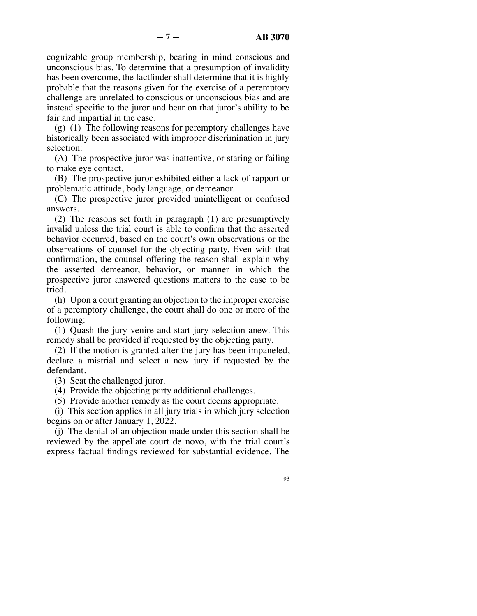cognizable group membership, bearing in mind conscious and unconscious bias. To determine that a presumption of invalidity has been overcome, the factfinder shall determine that it is highly probable that the reasons given for the exercise of a peremptory challenge are unrelated to conscious or unconscious bias and are instead specific to the juror and bear on that juror's ability to be fair and impartial in the case.

(g) (1) The following reasons for peremptory challenges have historically been associated with improper discrimination in jury selection:

(A) The prospective juror was inattentive, or staring or failing to make eye contact.

(B) The prospective juror exhibited either a lack of rapport or problematic attitude, body language, or demeanor.

(C) The prospective juror provided unintelligent or confused answers.

(2) The reasons set forth in paragraph (1) are presumptively invalid unless the trial court is able to confirm that the asserted behavior occurred, based on the court's own observations or the observations of counsel for the objecting party. Even with that confirmation, the counsel offering the reason shall explain why the asserted demeanor, behavior, or manner in which the prospective juror answered questions matters to the case to be tried.

(h) Upon a court granting an objection to the improper exercise of a peremptory challenge, the court shall do one or more of the following:

(1) Quash the jury venire and start jury selection anew. This remedy shall be provided if requested by the objecting party.

(2) If the motion is granted after the jury has been impaneled, declare a mistrial and select a new jury if requested by the defendant.

(3) Seat the challenged juror.

(4) Provide the objecting party additional challenges.

(5) Provide another remedy as the court deems appropriate.

(i) This section applies in all jury trials in which jury selection begins on or after January 1, 2022.

(j) The denial of an objection made under this section shall be reviewed by the appellate court de novo, with the trial court's express factual findings reviewed for substantial evidence. The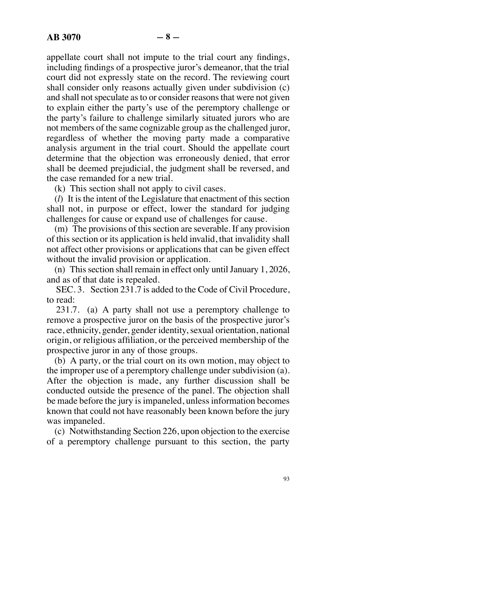appellate court shall not impute to the trial court any findings, including findings of a prospective juror's demeanor, that the trial court did not expressly state on the record. The reviewing court shall consider only reasons actually given under subdivision (c) and shall not speculate as to or consider reasons that were not given to explain either the party's use of the peremptory challenge or the party's failure to challenge similarly situated jurors who are not members of the same cognizable group as the challenged juror, regardless of whether the moving party made a comparative analysis argument in the trial court. Should the appellate court determine that the objection was erroneously denied, that error shall be deemed prejudicial, the judgment shall be reversed, and the case remanded for a new trial.

(k) This section shall not apply to civil cases.

(*l*) It is the intent of the Legislature that enactment of this section shall not, in purpose or effect, lower the standard for judging challenges for cause or expand use of challenges for cause.

(m) The provisions of this section are severable. If any provision of this section or its application is held invalid, that invalidity shall not affect other provisions or applications that can be given effect without the invalid provision or application.

(n) This section shall remain in effect only until January 1, 2026, and as of that date is repealed.

SEC. 3. Section 231.7 is added to the Code of Civil Procedure, to read:

231.7. (a) A party shall not use a peremptory challenge to remove a prospective juror on the basis of the prospective juror's race, ethnicity, gender, gender identity, sexual orientation, national origin, or religious affiliation, or the perceived membership of the prospective juror in any of those groups.

(b) A party, or the trial court on its own motion, may object to the improper use of a peremptory challenge under subdivision (a). After the objection is made, any further discussion shall be conducted outside the presence of the panel. The objection shall be made before the jury is impaneled, unless information becomes known that could not have reasonably been known before the jury was impaneled.

(c) Notwithstanding Section 226, upon objection to the exercise of a peremptory challenge pursuant to this section, the party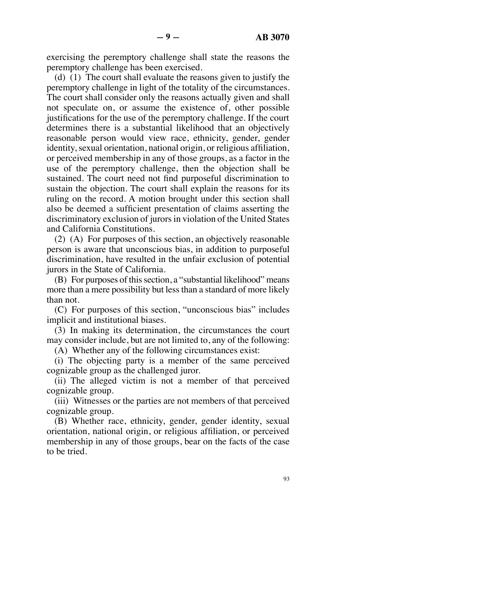exercising the peremptory challenge shall state the reasons the peremptory challenge has been exercised.

(d) (1) The court shall evaluate the reasons given to justify the peremptory challenge in light of the totality of the circumstances. The court shall consider only the reasons actually given and shall not speculate on, or assume the existence of, other possible justifications for the use of the peremptory challenge. If the court determines there is a substantial likelihood that an objectively reasonable person would view race, ethnicity, gender, gender identity, sexual orientation, national origin, or religious affiliation, or perceived membership in any of those groups, as a factor in the use of the peremptory challenge, then the objection shall be sustained. The court need not find purposeful discrimination to sustain the objection. The court shall explain the reasons for its ruling on the record. A motion brought under this section shall also be deemed a sufficient presentation of claims asserting the discriminatory exclusion of jurors in violation of the United States and California Constitutions.

(2) (A) For purposes of this section, an objectively reasonable person is aware that unconscious bias, in addition to purposeful discrimination, have resulted in the unfair exclusion of potential jurors in the State of California.

(B) For purposes of this section, a "substantial likelihood" means more than a mere possibility but less than a standard of more likely than not.

(C) For purposes of this section, "unconscious bias" includes implicit and institutional biases.

(3) In making its determination, the circumstances the court may consider include, but are not limited to, any of the following:

(A) Whether any of the following circumstances exist:

(i) The objecting party is a member of the same perceived cognizable group as the challenged juror.

(ii) The alleged victim is not a member of that perceived cognizable group.

(iii) Witnesses or the parties are not members of that perceived cognizable group.

(B) Whether race, ethnicity, gender, gender identity, sexual orientation, national origin, or religious affiliation, or perceived membership in any of those groups, bear on the facts of the case to be tried.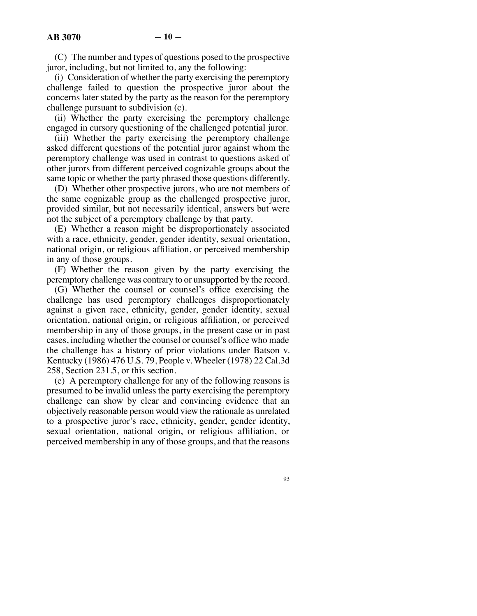(C) The number and types of questions posed to the prospective juror, including, but not limited to, any the following:

(i) Consideration of whether the party exercising the peremptory challenge failed to question the prospective juror about the concerns later stated by the party as the reason for the peremptory challenge pursuant to subdivision (c).

(ii) Whether the party exercising the peremptory challenge engaged in cursory questioning of the challenged potential juror.

(iii) Whether the party exercising the peremptory challenge asked different questions of the potential juror against whom the peremptory challenge was used in contrast to questions asked of other jurors from different perceived cognizable groups about the same topic or whether the party phrased those questions differently.

(D) Whether other prospective jurors, who are not members of the same cognizable group as the challenged prospective juror, provided similar, but not necessarily identical, answers but were not the subject of a peremptory challenge by that party.

(E) Whether a reason might be disproportionately associated with a race, ethnicity, gender, gender identity, sexual orientation, national origin, or religious affiliation, or perceived membership in any of those groups.

(F) Whether the reason given by the party exercising the peremptory challenge was contrary to or unsupported by the record.

(G) Whether the counsel or counsel's office exercising the challenge has used peremptory challenges disproportionately against a given race, ethnicity, gender, gender identity, sexual orientation, national origin, or religious affiliation, or perceived membership in any of those groups, in the present case or in past cases, including whether the counsel or counsel's office who made the challenge has a history of prior violations under Batson v. Kentucky (1986) 476 U.S. 79, People v. Wheeler (1978) 22 Cal.3d 258, Section 231.5, or this section.

(e) A peremptory challenge for any of the following reasons is presumed to be invalid unless the party exercising the peremptory challenge can show by clear and convincing evidence that an objectively reasonable person would view the rationale as unrelated to a prospective juror's race, ethnicity, gender, gender identity, sexual orientation, national origin, or religious affiliation, or perceived membership in any of those groups, and that the reasons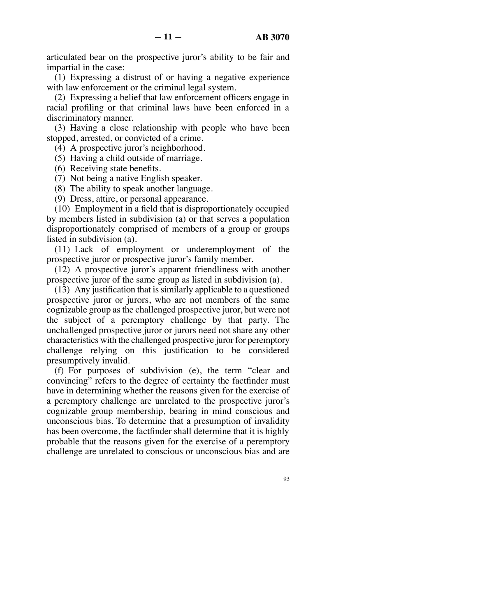articulated bear on the prospective juror's ability to be fair and impartial in the case:

(1) Expressing a distrust of or having a negative experience with law enforcement or the criminal legal system.

(2) Expressing a belief that law enforcement officers engage in racial profiling or that criminal laws have been enforced in a discriminatory manner.

(3) Having a close relationship with people who have been stopped, arrested, or convicted of a crime.

(4) A prospective juror's neighborhood.

(5) Having a child outside of marriage.

- (6) Receiving state benefits.
- (7) Not being a native English speaker.

(8) The ability to speak another language.

(9) Dress, attire, or personal appearance.

(10) Employment in a field that is disproportionately occupied by members listed in subdivision (a) or that serves a population disproportionately comprised of members of a group or groups listed in subdivision (a).

(11) Lack of employment or underemployment of the prospective juror or prospective juror's family member.

(12) A prospective juror's apparent friendliness with another prospective juror of the same group as listed in subdivision (a).

(13) Any justification that is similarly applicable to a questioned prospective juror or jurors, who are not members of the same cognizable group as the challenged prospective juror, but were not the subject of a peremptory challenge by that party. The unchallenged prospective juror or jurors need not share any other characteristics with the challenged prospective juror for peremptory challenge relying on this justification to be considered presumptively invalid.

(f) For purposes of subdivision (e), the term "clear and convincing" refers to the degree of certainty the factfinder must have in determining whether the reasons given for the exercise of a peremptory challenge are unrelated to the prospective juror's cognizable group membership, bearing in mind conscious and unconscious bias. To determine that a presumption of invalidity has been overcome, the factfinder shall determine that it is highly probable that the reasons given for the exercise of a peremptory challenge are unrelated to conscious or unconscious bias and are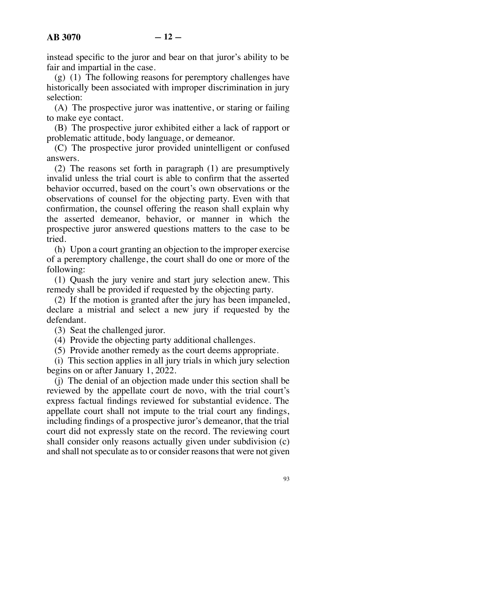instead specific to the juror and bear on that juror's ability to be fair and impartial in the case.

(g) (1) The following reasons for peremptory challenges have historically been associated with improper discrimination in jury selection:

(A) The prospective juror was inattentive, or staring or failing to make eye contact.

(B) The prospective juror exhibited either a lack of rapport or problematic attitude, body language, or demeanor.

(C) The prospective juror provided unintelligent or confused answers.

(2) The reasons set forth in paragraph (1) are presumptively invalid unless the trial court is able to confirm that the asserted behavior occurred, based on the court's own observations or the observations of counsel for the objecting party. Even with that confirmation, the counsel offering the reason shall explain why the asserted demeanor, behavior, or manner in which the prospective juror answered questions matters to the case to be tried.

(h) Upon a court granting an objection to the improper exercise of a peremptory challenge, the court shall do one or more of the following:

(1) Quash the jury venire and start jury selection anew. This remedy shall be provided if requested by the objecting party.

(2) If the motion is granted after the jury has been impaneled, declare a mistrial and select a new jury if requested by the defendant.

(3) Seat the challenged juror.

(4) Provide the objecting party additional challenges.

(5) Provide another remedy as the court deems appropriate.

(i) This section applies in all jury trials in which jury selection begins on or after January 1, 2022.

(j) The denial of an objection made under this section shall be reviewed by the appellate court de novo, with the trial court's express factual findings reviewed for substantial evidence. The appellate court shall not impute to the trial court any findings, including findings of a prospective juror's demeanor, that the trial court did not expressly state on the record. The reviewing court shall consider only reasons actually given under subdivision (c) and shall not speculate as to or consider reasons that were not given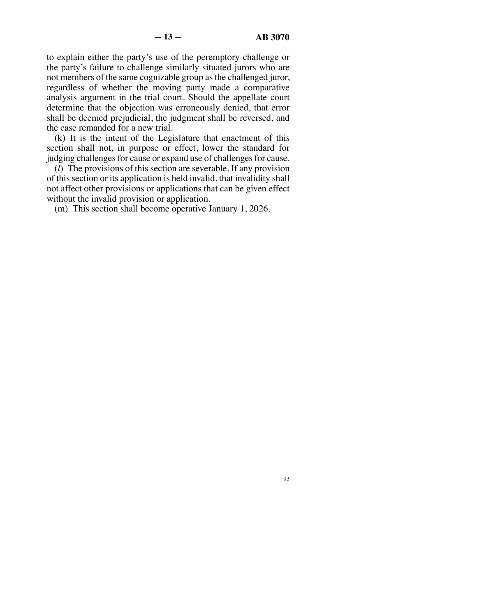to explain either the party's use of the peremptory challenge or the party's failure to challenge similarly situated jurors who are not members of the same cognizable group as the challenged juror, regardless of whether the moving party made a comparative analysis argument in the trial court. Should the appellate court determine that the objection was erroneously denied, that error shall be deemed prejudicial, the judgment shall be reversed, and the case remanded for a new trial.

(k) It is the intent of the Legislature that enactment of this section shall not, in purpose or effect, lower the standard for judging challenges for cause or expand use of challenges for cause.

(*l*) The provisions of this section are severable. If any provision of this section or its application is held invalid, that invalidity shall not affect other provisions or applications that can be given effect without the invalid provision or application.

(m) This section shall become operative January 1, 2026.